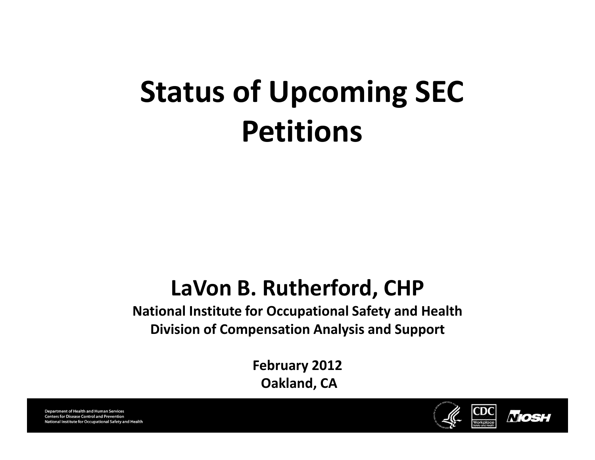# Status of Upcoming SEC Petitions

#### LaVon B. Rutherford, CHP

#### National Institute for Occupational Safety and Health Division of Compensation Analysis and Support

February 2012 Oakland, CA

**Department of Health and Human Services Centers for Disease Control and Prevention** National Institute for Occupational Safety and Health

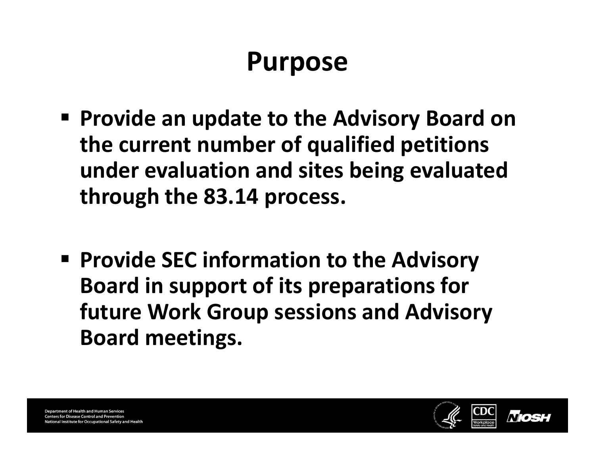#### Purpose

- Provide an update to the Advisory Board on the current number of qualified petitions under evaluation and sites being evaluated through the 83.14 process.
- Provide SEC information to the Advisory Board in support of its preparations for future Work Group sessions and Advisory Board meetings.

**Department of Health and Human Services Centers for Disease Control and Prevention** nal Institute for Occupational Safety and Health

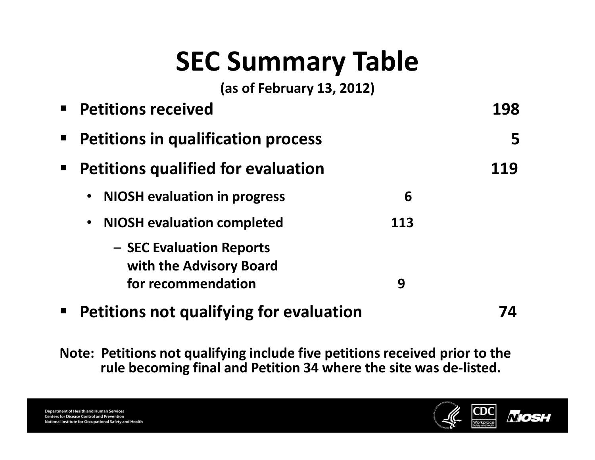# SEC Summary Table

(as of February 13, 2012)

|                | <b>Petitions received</b>                                                 |     | 198 |
|----------------|---------------------------------------------------------------------------|-----|-----|
| $\blacksquare$ | <b>Petitions in qualification process</b>                                 |     | 5   |
| $\blacksquare$ | <b>Petitions qualified for evaluation</b>                                 |     | 119 |
|                | <b>NIOSH</b> evaluation in progress<br>$\bullet$                          | 6   |     |
|                | <b>NIOSH</b> evaluation completed<br>$\bullet$                            | 113 |     |
|                | - SEC Evaluation Reports<br>with the Advisory Board<br>for recommendation | 9   |     |
| $\blacksquare$ | <b>Petitions not qualifying for evaluation</b>                            |     |     |

Note: Petitions not qualifying include five petitions received prior to the rule becoming final and Petition 34 where the site was de-listed.

**Department of Health and Human Services Centers for Disease Control and Prevention** National Institute for Occupational Safety and Health

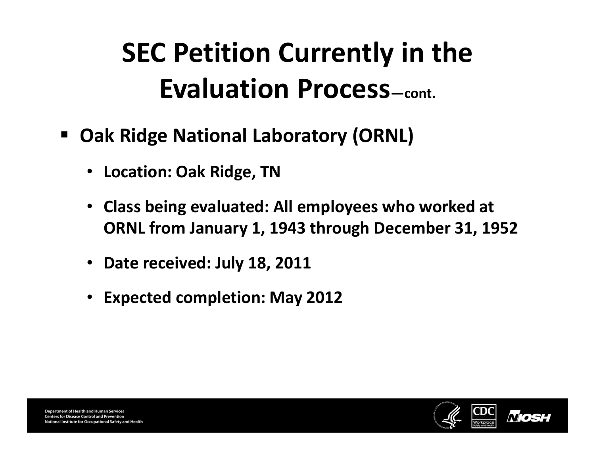- $\blacksquare$  Oak Ridge National Laboratory (ORNL)
	- Location: Oak Ridge, TN
	- Class being evaluated: All employees who worked at ORNL from January 1, 1943 through December 31, 1952
	- Date received: July 18, 2011
	- Expected completion: May 2012

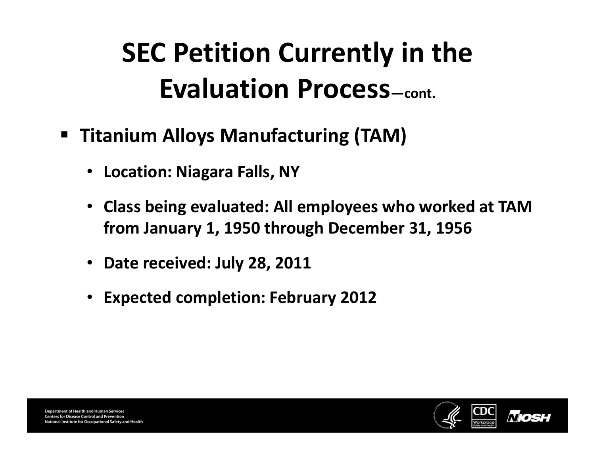- Titanium Alloys Manufacturing (TAM)
	- Location: Niagara Falls, NY
	- Class being evaluated: All employees who worked at TAM from January 1, 1950 through December 31, 1956
	- Date received: July 28, 2011
	- Expected completion: February 2012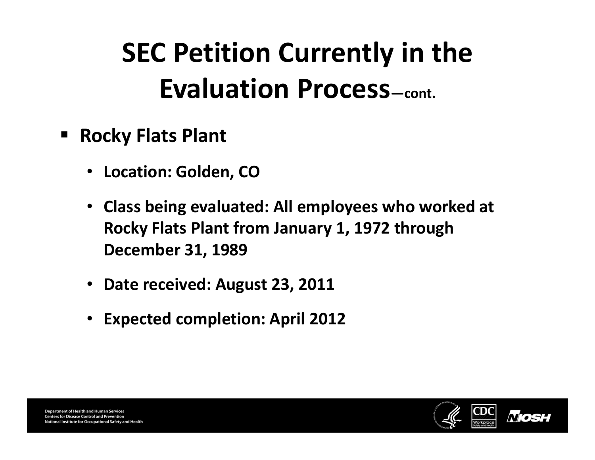- **Example Plant Find Plant** 
	- Location: Golden, CO
	- Class being evaluated: All employees who worked at Rocky Flats Plant from January 1, 1972 through December 31, 1989
	- Date received: August 23, 2011
	- Expected completion: April 2012



**Department of Health and Human Services Centers for Disease Control and Prevention** onal Institute for Occupational Safety and Health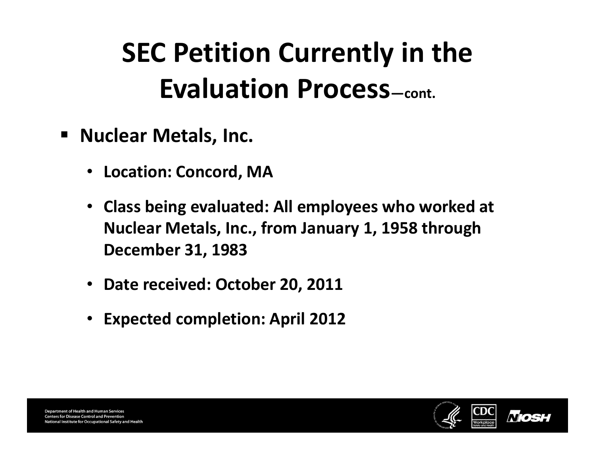- Nuclear Metals, Inc.
	- Location: Concord, MA
	- Class being evaluated: All employees who worked at Nuclear Metals, Inc., from January 1, 1958 through December 31, 1983
	- Date received: October 20, 2011
	- Expected completion: April 2012

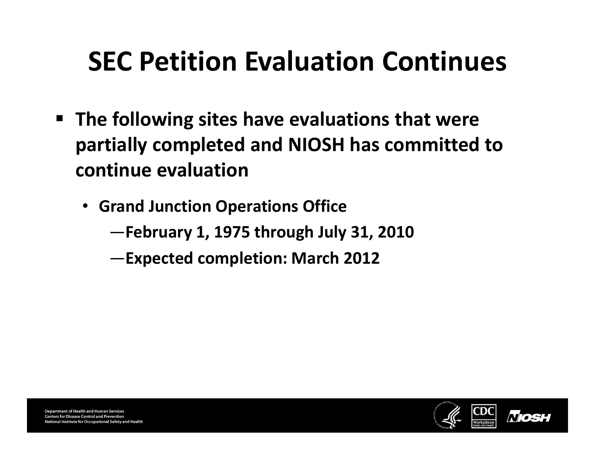#### SEC Petition Evaluation Continues

- The following sites have evaluations that were partially completed and NIOSH has committed to continue evaluation
	- Grand Junction Operations Office
		- —February 1, 1975 through July 31, 2010
		- —Expected completion: March 2012